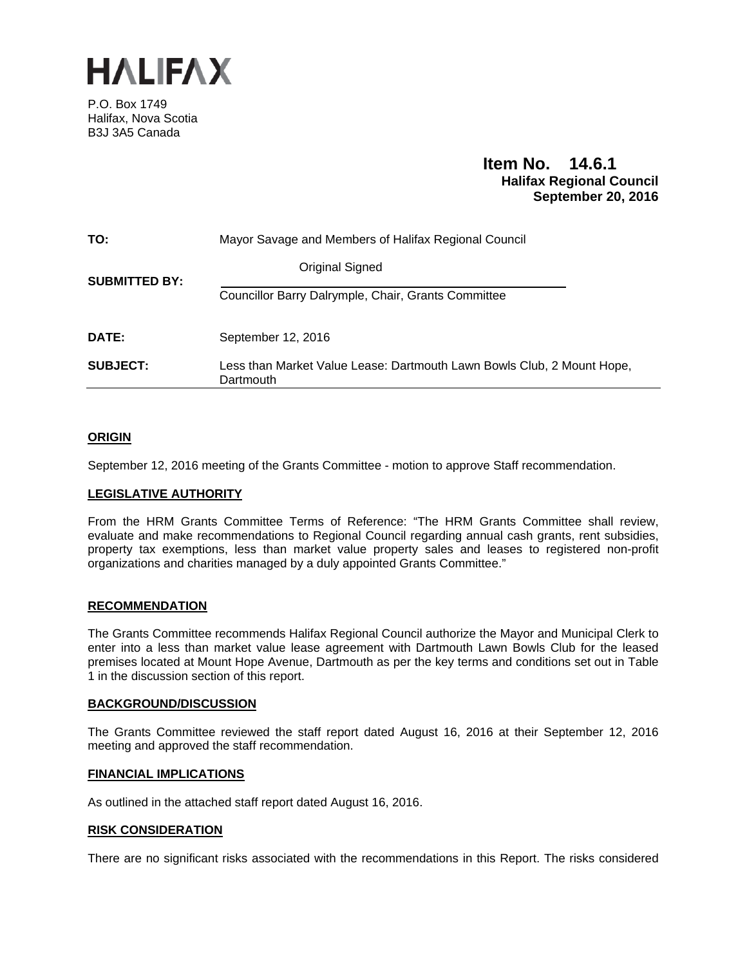

P.O. Box 1749 Halifax, Nova Scotia B3J 3A5 Canada

# **Item No. 14.6.1 Halifax Regional Council September 20, 2016**

| TO:                  | Mayor Savage and Members of Halifax Regional Council                                |
|----------------------|-------------------------------------------------------------------------------------|
| <b>SUBMITTED BY:</b> | Original Signed                                                                     |
|                      | Councillor Barry Dalrymple, Chair, Grants Committee                                 |
| DATE:                | September 12, 2016                                                                  |
| <b>SUBJECT:</b>      | Less than Market Value Lease: Dartmouth Lawn Bowls Club, 2 Mount Hope,<br>Dartmouth |

# **ORIGIN**

September 12, 2016 meeting of the Grants Committee - motion to approve Staff recommendation.

### **LEGISLATIVE AUTHORITY**

From the HRM Grants Committee Terms of Reference: "The HRM Grants Committee shall review, evaluate and make recommendations to Regional Council regarding annual cash grants, rent subsidies, property tax exemptions, less than market value property sales and leases to registered non-profit organizations and charities managed by a duly appointed Grants Committee."

### **RECOMMENDATION**

The Grants Committee recommends Halifax Regional Council authorize the Mayor and Municipal Clerk to enter into a less than market value lease agreement with Dartmouth Lawn Bowls Club for the leased premises located at Mount Hope Avenue, Dartmouth as per the key terms and conditions set out in Table 1 in the discussion section of this report.

### **BACKGROUND/DISCUSSION**

The Grants Committee reviewed the staff report dated August 16, 2016 at their September 12, 2016 meeting and approved the staff recommendation.

### **FINANCIAL IMPLICATIONS**

As outlined in the attached staff report dated August 16, 2016.

#### **RISK CONSIDERATION**

There are no significant risks associated with the recommendations in this Report. The risks considered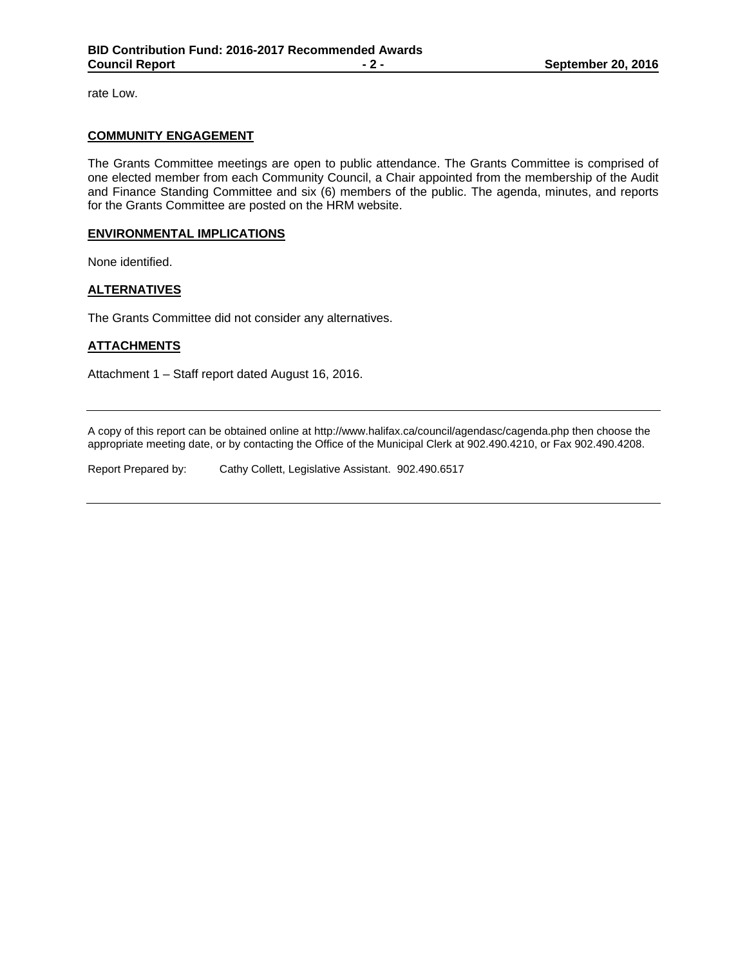rate Low.

### **COMMUNITY ENGAGEMENT**

The Grants Committee meetings are open to public attendance. The Grants Committee is comprised of one elected member from each Community Council, a Chair appointed from the membership of the Audit and Finance Standing Committee and six (6) members of the public. The agenda, minutes, and reports for the Grants Committee are posted on the HRM website.

### **ENVIRONMENTAL IMPLICATIONS**

None identified.

### **ALTERNATIVES**

The Grants Committee did not consider any alternatives.

### **ATTACHMENTS**

Attachment 1 – Staff report dated August 16, 2016.

A copy of this report can be obtained online at http://www.halifax.ca/council/agendasc/cagenda.php then choose the appropriate meeting date, or by contacting the Office of the Municipal Clerk at 902.490.4210, or Fax 902.490.4208.

Report Prepared by: Cathy Collett, Legislative Assistant. 902.490.6517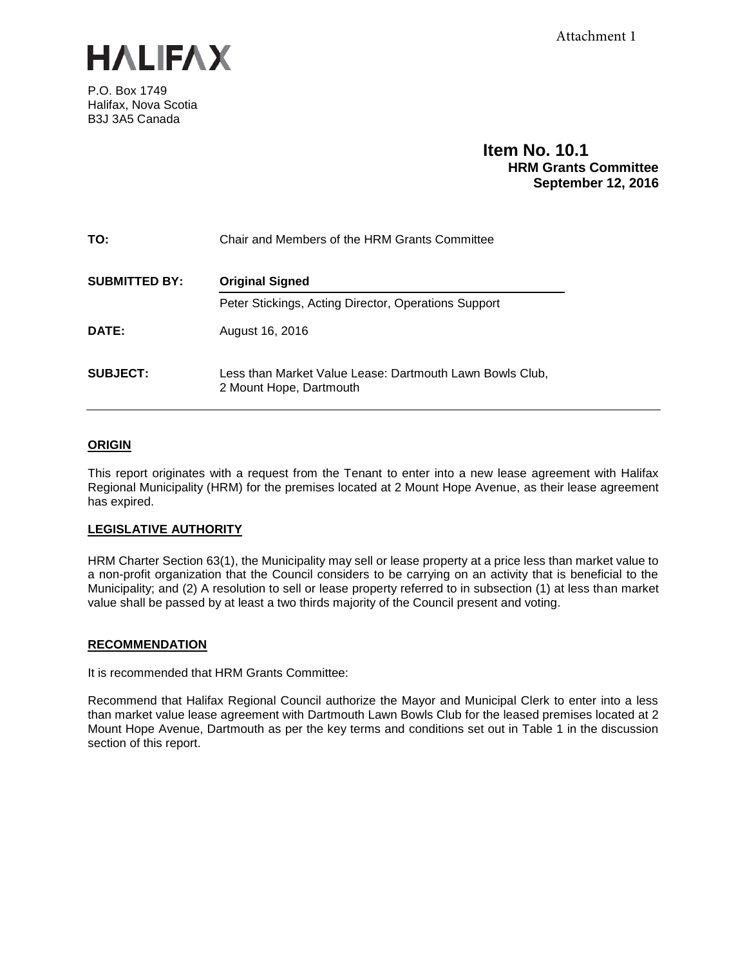

P.O. Box 1749 Halifax, Nova Scotia B3J 3A5 Canada

# **Item No. 10.1 HRM Grants Committee September 12, 2016**

| TO:                  | Chair and Members of the HRM Grants Committee                                       |
|----------------------|-------------------------------------------------------------------------------------|
| <b>SUBMITTED BY:</b> | <b>Original Signed</b>                                                              |
|                      | Peter Stickings, Acting Director, Operations Support                                |
| DATE:                | August 16, 2016                                                                     |
| <b>SUBJECT:</b>      | Less than Market Value Lease: Dartmouth Lawn Bowls Club,<br>2 Mount Hope, Dartmouth |

# **ORIGIN**

This report originates with a request from the Tenant to enter into a new lease agreement with Halifax Regional Municipality (HRM) for the premises located at 2 Mount Hope Avenue, as their lease agreement has expired.

# **LEGISLATIVE AUTHORITY**

HRM Charter Section 63(1), the Municipality may sell or lease property at a price less than market value to a non-profit organization that the Council considers to be carrying on an activity that is beneficial to the Municipality; and (2) A resolution to sell or lease property referred to in subsection (1) at less than market value shall be passed by at least a two thirds majority of the Council present and voting.

### **RECOMMENDATION**

It is recommended that HRM Grants Committee:

Recommend that Halifax Regional Council authorize the Mayor and Municipal Clerk to enter into a less than market value lease agreement with Dartmouth Lawn Bowls Club for the leased premises located at 2 Mount Hope Avenue, Dartmouth as per the key terms and conditions set out in Table 1 in the discussion section of this report.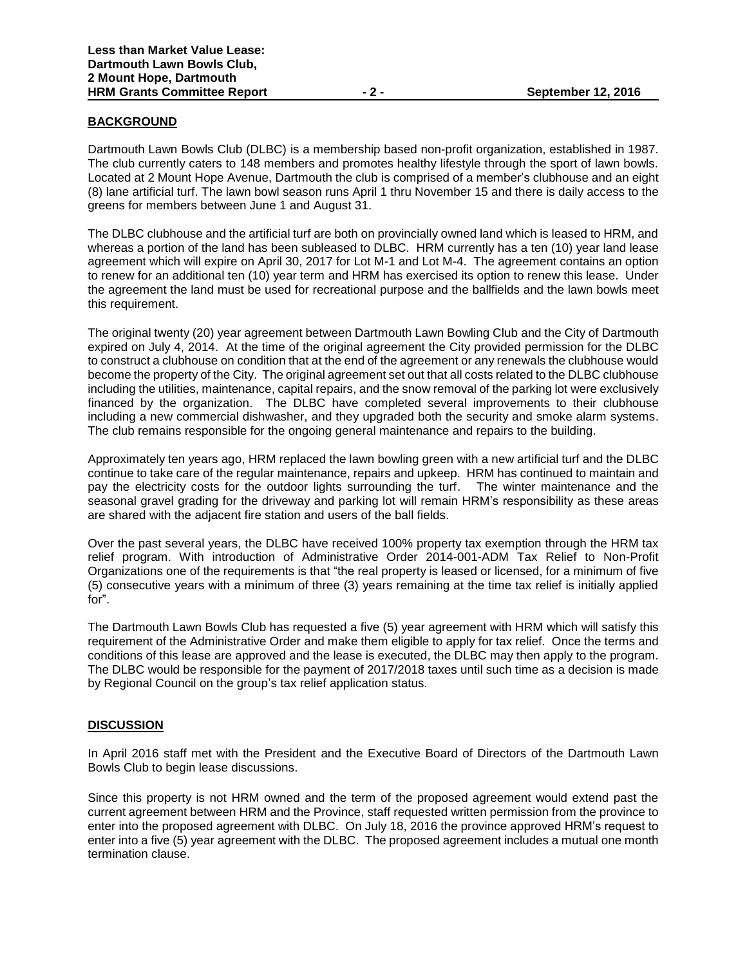### **BACKGROUND**

Dartmouth Lawn Bowls Club (DLBC) is a membership based non-profit organization, established in 1987. The club currently caters to 148 members and promotes healthy lifestyle through the sport of lawn bowls. Located at 2 Mount Hope Avenue, Dartmouth the club is comprised of a member's clubhouse and an eight (8) lane artificial turf. The lawn bowl season runs April 1 thru November 15 and there is daily access to the greens for members between June 1 and August 31.

The DLBC clubhouse and the artificial turf are both on provincially owned land which is leased to HRM, and whereas a portion of the land has been subleased to DLBC. HRM currently has a ten (10) year land lease agreement which will expire on April 30, 2017 for Lot M-1 and Lot M-4. The agreement contains an option to renew for an additional ten (10) year term and HRM has exercised its option to renew this lease. Under the agreement the land must be used for recreational purpose and the ballfields and the lawn bowls meet this requirement.

The original twenty (20) year agreement between Dartmouth Lawn Bowling Club and the City of Dartmouth expired on July 4, 2014. At the time of the original agreement the City provided permission for the DLBC to construct a clubhouse on condition that at the end of the agreement or any renewals the clubhouse would become the property of the City. The original agreement set out that all costs related to the DLBC clubhouse including the utilities, maintenance, capital repairs, and the snow removal of the parking lot were exclusively financed by the organization. The DLBC have completed several improvements to their clubhouse including a new commercial dishwasher, and they upgraded both the security and smoke alarm systems. The club remains responsible for the ongoing general maintenance and repairs to the building.

Approximately ten years ago, HRM replaced the lawn bowling green with a new artificial turf and the DLBC continue to take care of the regular maintenance, repairs and upkeep. HRM has continued to maintain and pay the electricity costs for the outdoor lights surrounding the turf. The winter maintenance and the seasonal gravel grading for the driveway and parking lot will remain HRM's responsibility as these areas are shared with the adjacent fire station and users of the ball fields.

Over the past several years, the DLBC have received 100% property tax exemption through the HRM tax relief program. With introduction of Administrative Order 2014-001-ADM Tax Relief to Non-Profit Organizations one of the requirements is that "the real property is leased or licensed, for a minimum of five (5) consecutive years with a minimum of three (3) years remaining at the time tax relief is initially applied for".

The Dartmouth Lawn Bowls Club has requested a five (5) year agreement with HRM which will satisfy this requirement of the Administrative Order and make them eligible to apply for tax relief. Once the terms and conditions of this lease are approved and the lease is executed, the DLBC may then apply to the program. The DLBC would be responsible for the payment of 2017/2018 taxes until such time as a decision is made by Regional Council on the group's tax relief application status.

### **DISCUSSION**

In April 2016 staff met with the President and the Executive Board of Directors of the Dartmouth Lawn Bowls Club to begin lease discussions.

Since this property is not HRM owned and the term of the proposed agreement would extend past the current agreement between HRM and the Province, staff requested written permission from the province to enter into the proposed agreement with DLBC. On July 18, 2016 the province approved HRM's request to enter into a five (5) year agreement with the DLBC. The proposed agreement includes a mutual one month termination clause.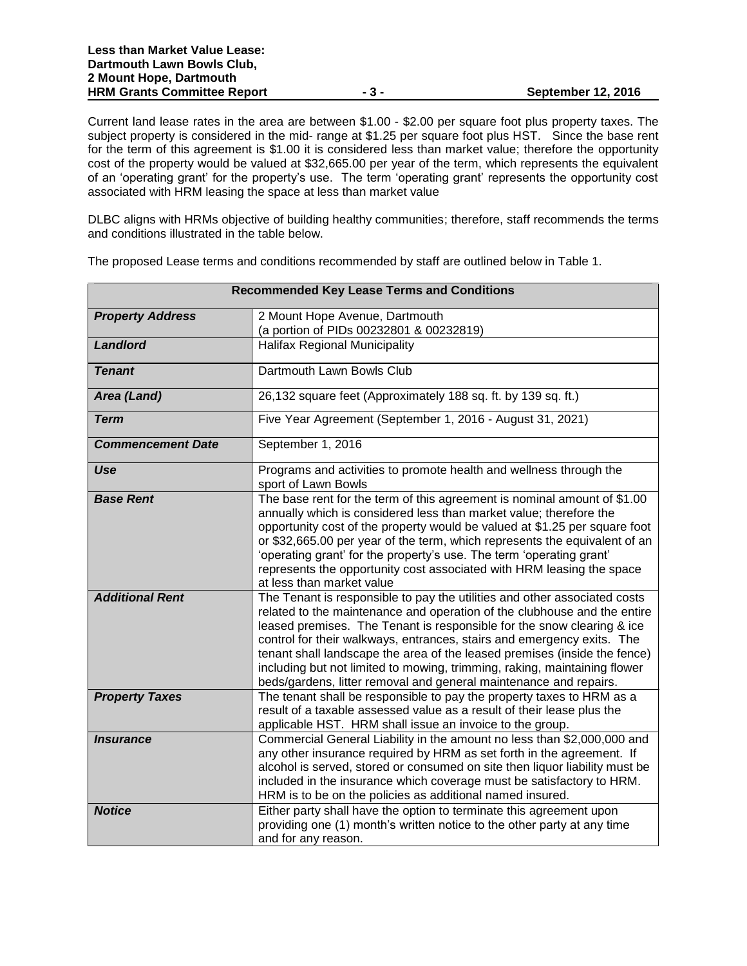Current land lease rates in the area are between \$1.00 - \$2.00 per square foot plus property taxes. The subject property is considered in the mid- range at \$1.25 per square foot plus HST. Since the base rent for the term of this agreement is \$1.00 it is considered less than market value; therefore the opportunity cost of the property would be valued at \$32,665.00 per year of the term, which represents the equivalent of an 'operating grant' for the property's use. The term 'operating grant' represents the opportunity cost associated with HRM leasing the space at less than market value

DLBC aligns with HRMs objective of building healthy communities; therefore, staff recommends the terms and conditions illustrated in the table below.

| <b>Recommended Key Lease Terms and Conditions</b> |                                                                                                                                                                                                                                                                                                                                                                                                                                                                                                                                          |  |
|---------------------------------------------------|------------------------------------------------------------------------------------------------------------------------------------------------------------------------------------------------------------------------------------------------------------------------------------------------------------------------------------------------------------------------------------------------------------------------------------------------------------------------------------------------------------------------------------------|--|
| <b>Property Address</b>                           | 2 Mount Hope Avenue, Dartmouth                                                                                                                                                                                                                                                                                                                                                                                                                                                                                                           |  |
|                                                   | (a portion of PIDs 00232801 & 00232819)                                                                                                                                                                                                                                                                                                                                                                                                                                                                                                  |  |
| <b>Landlord</b>                                   | <b>Halifax Regional Municipality</b>                                                                                                                                                                                                                                                                                                                                                                                                                                                                                                     |  |
| <b>Tenant</b>                                     | Dartmouth Lawn Bowls Club                                                                                                                                                                                                                                                                                                                                                                                                                                                                                                                |  |
| Area (Land)                                       | 26,132 square feet (Approximately 188 sq. ft. by 139 sq. ft.)                                                                                                                                                                                                                                                                                                                                                                                                                                                                            |  |
| <b>Term</b>                                       | Five Year Agreement (September 1, 2016 - August 31, 2021)                                                                                                                                                                                                                                                                                                                                                                                                                                                                                |  |
| <b>Commencement Date</b>                          | September 1, 2016                                                                                                                                                                                                                                                                                                                                                                                                                                                                                                                        |  |
| Use                                               | Programs and activities to promote health and wellness through the<br>sport of Lawn Bowls                                                                                                                                                                                                                                                                                                                                                                                                                                                |  |
| <b>Base Rent</b>                                  | The base rent for the term of this agreement is nominal amount of $$1.00$<br>annually which is considered less than market value; therefore the<br>opportunity cost of the property would be valued at \$1.25 per square foot<br>or \$32,665.00 per year of the term, which represents the equivalent of an<br>'operating grant' for the property's use. The term 'operating grant'<br>represents the opportunity cost associated with HRM leasing the space<br>at less than market value                                                |  |
| <b>Additional Rent</b>                            | The Tenant is responsible to pay the utilities and other associated costs<br>related to the maintenance and operation of the clubhouse and the entire<br>leased premises. The Tenant is responsible for the snow clearing & ice<br>control for their walkways, entrances, stairs and emergency exits. The<br>tenant shall landscape the area of the leased premises (inside the fence)<br>including but not limited to mowing, trimming, raking, maintaining flower<br>beds/gardens, litter removal and general maintenance and repairs. |  |
| <b>Property Taxes</b>                             | The tenant shall be responsible to pay the property taxes to HRM as a<br>result of a taxable assessed value as a result of their lease plus the<br>applicable HST. HRM shall issue an invoice to the group.                                                                                                                                                                                                                                                                                                                              |  |
| <b>Insurance</b>                                  | Commercial General Liability in the amount no less than \$2,000,000 and<br>any other insurance required by HRM as set forth in the agreement. If<br>alcohol is served, stored or consumed on site then liquor liability must be<br>included in the insurance which coverage must be satisfactory to HRM.<br>HRM is to be on the policies as additional named insured.                                                                                                                                                                    |  |
| <b>Notice</b>                                     | Either party shall have the option to terminate this agreement upon<br>providing one (1) month's written notice to the other party at any time<br>and for any reason.                                                                                                                                                                                                                                                                                                                                                                    |  |

The proposed Lease terms and conditions recommended by staff are outlined below in Table 1.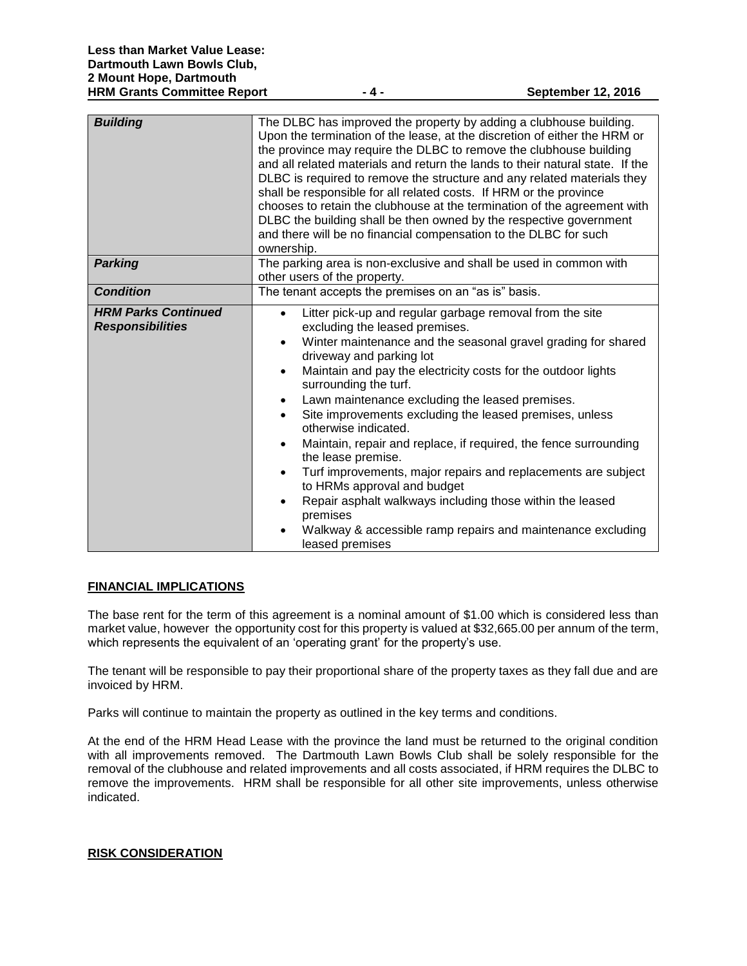| <b>Building</b>                                       | The DLBC has improved the property by adding a clubhouse building.<br>Upon the termination of the lease, at the discretion of either the HRM or<br>the province may require the DLBC to remove the clubhouse building<br>and all related materials and return the lands to their natural state. If the<br>DLBC is required to remove the structure and any related materials they<br>shall be responsible for all related costs. If HRM or the province<br>chooses to retain the clubhouse at the termination of the agreement with<br>DLBC the building shall be then owned by the respective government<br>and there will be no financial compensation to the DLBC for such<br>ownership.                                                                                                                                                                             |
|-------------------------------------------------------|-------------------------------------------------------------------------------------------------------------------------------------------------------------------------------------------------------------------------------------------------------------------------------------------------------------------------------------------------------------------------------------------------------------------------------------------------------------------------------------------------------------------------------------------------------------------------------------------------------------------------------------------------------------------------------------------------------------------------------------------------------------------------------------------------------------------------------------------------------------------------|
| <b>Parking</b>                                        | The parking area is non-exclusive and shall be used in common with<br>other users of the property.                                                                                                                                                                                                                                                                                                                                                                                                                                                                                                                                                                                                                                                                                                                                                                      |
| <b>Condition</b>                                      | The tenant accepts the premises on an "as is" basis.                                                                                                                                                                                                                                                                                                                                                                                                                                                                                                                                                                                                                                                                                                                                                                                                                    |
| <b>HRM Parks Continued</b><br><b>Responsibilities</b> | Litter pick-up and regular garbage removal from the site<br>$\bullet$<br>excluding the leased premises.<br>Winter maintenance and the seasonal gravel grading for shared<br>$\bullet$<br>driveway and parking lot<br>Maintain and pay the electricity costs for the outdoor lights<br>$\bullet$<br>surrounding the turf.<br>Lawn maintenance excluding the leased premises.<br>$\bullet$<br>Site improvements excluding the leased premises, unless<br>otherwise indicated.<br>Maintain, repair and replace, if required, the fence surrounding<br>$\bullet$<br>the lease premise.<br>Turf improvements, major repairs and replacements are subject<br>$\bullet$<br>to HRMs approval and budget<br>Repair asphalt walkways including those within the leased<br>$\bullet$<br>premises<br>Walkway & accessible ramp repairs and maintenance excluding<br>leased premises |

### **FINANCIAL IMPLICATIONS**

The base rent for the term of this agreement is a nominal amount of \$1.00 which is considered less than market value, however the opportunity cost for this property is valued at \$32,665.00 per annum of the term, which represents the equivalent of an 'operating grant' for the property's use.

The tenant will be responsible to pay their proportional share of the property taxes as they fall due and are invoiced by HRM.

Parks will continue to maintain the property as outlined in the key terms and conditions.

At the end of the HRM Head Lease with the province the land must be returned to the original condition with all improvements removed. The Dartmouth Lawn Bowls Club shall be solely responsible for the removal of the clubhouse and related improvements and all costs associated, if HRM requires the DLBC to remove the improvements. HRM shall be responsible for all other site improvements, unless otherwise indicated.

#### **RISK CONSIDERATION**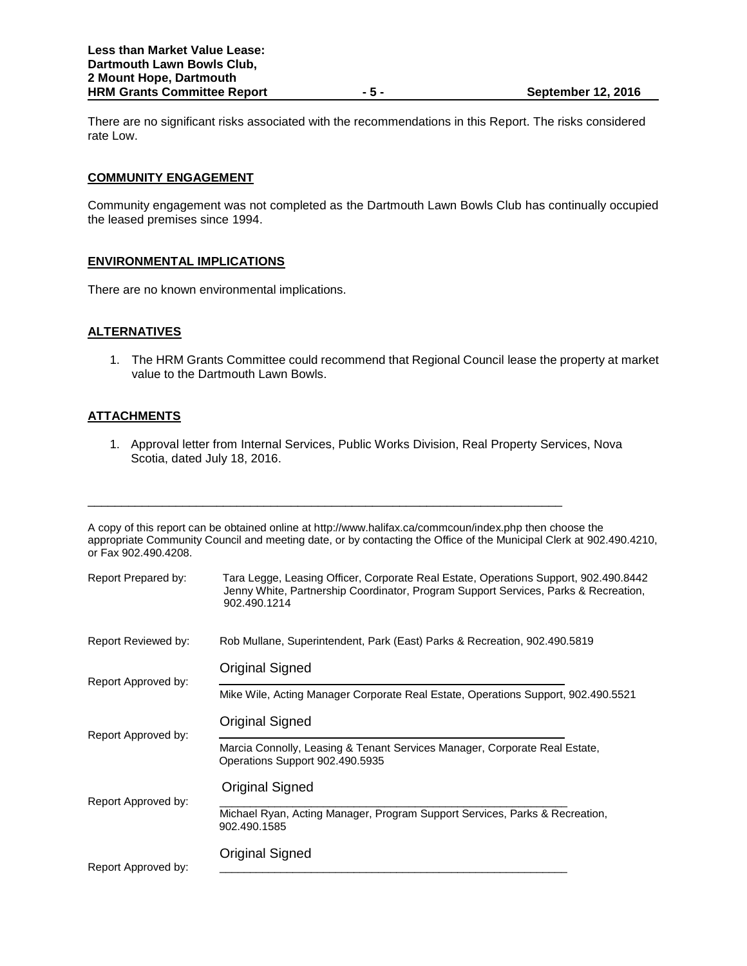There are no significant risks associated with the recommendations in this Report. The risks considered rate Low.

# **COMMUNITY ENGAGEMENT**

Community engagement was not completed as the Dartmouth Lawn Bowls Club has continually occupied the leased premises since 1994.

# **ENVIRONMENTAL IMPLICATIONS**

There are no known environmental implications.

# **ALTERNATIVES**

1. The HRM Grants Committee could recommend that Regional Council lease the property at market value to the Dartmouth Lawn Bowls.

# **ATTACHMENTS**

1. Approval letter from Internal Services, Public Works Division, Real Property Services, Nova Scotia, dated July 18, 2016.

\_\_\_\_\_\_\_\_\_\_\_\_\_\_\_\_\_\_\_\_\_\_\_\_\_\_\_\_\_\_\_\_\_\_\_\_\_\_\_\_\_\_\_\_\_\_\_\_\_\_\_\_\_\_\_\_\_\_\_\_\_\_\_\_\_\_\_\_\_\_

A copy of this report can be obtained online at http://www.halifax.ca/commcoun/index.php then choose the appropriate Community Council and meeting date, or by contacting the Office of the Municipal Clerk at 902.490.4210, or Fax 902.490.4208.

| Report Prepared by: | Tara Legge, Leasing Officer, Corporate Real Estate, Operations Support, 902.490.8442<br>Jenny White, Partnership Coordinator, Program Support Services, Parks & Recreation,<br>902.490.1214 |
|---------------------|---------------------------------------------------------------------------------------------------------------------------------------------------------------------------------------------|
| Report Reviewed by: | Rob Mullane, Superintendent, Park (East) Parks & Recreation, 902.490.5819                                                                                                                   |
| Report Approved by: | <b>Original Signed</b>                                                                                                                                                                      |
|                     | Mike Wile, Acting Manager Corporate Real Estate, Operations Support, 902.490.5521                                                                                                           |
| Report Approved by: | Original Signed                                                                                                                                                                             |
|                     | Marcia Connolly, Leasing & Tenant Services Manager, Corporate Real Estate,<br>Operations Support 902.490.5935                                                                               |
| Report Approved by: | Original Signed                                                                                                                                                                             |
|                     | Michael Ryan, Acting Manager, Program Support Services, Parks & Recreation,<br>902.490.1585                                                                                                 |
| Report Approved by: | Original Signed                                                                                                                                                                             |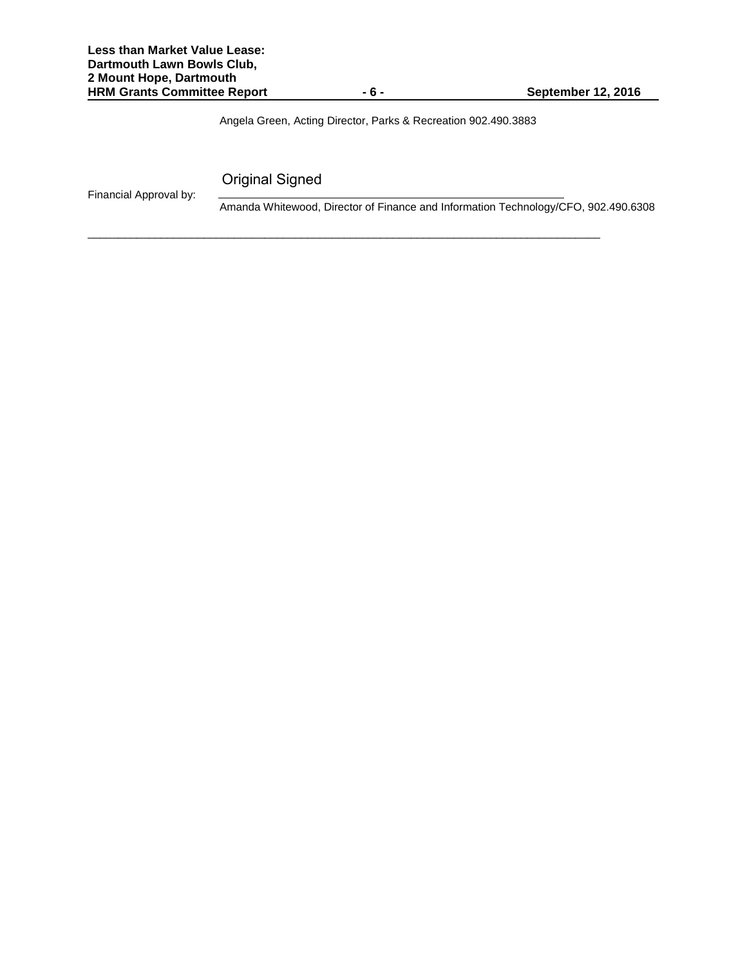Angela Green, Acting Director, Parks & Recreation 902.490.3883

\_\_\_\_\_\_\_\_\_\_\_\_\_\_\_\_\_\_\_\_\_\_\_\_\_\_\_\_\_\_\_\_\_\_\_\_\_\_\_\_\_\_\_\_\_\_\_\_\_\_\_\_\_\_\_\_\_\_\_\_\_\_\_\_\_\_\_\_\_\_\_\_\_\_\_\_\_\_\_\_\_\_\_\_

Original Signed

Financial Approval by:

Amanda Whitewood, Director of Finance and Information Technology/CFO, 902.490.6308